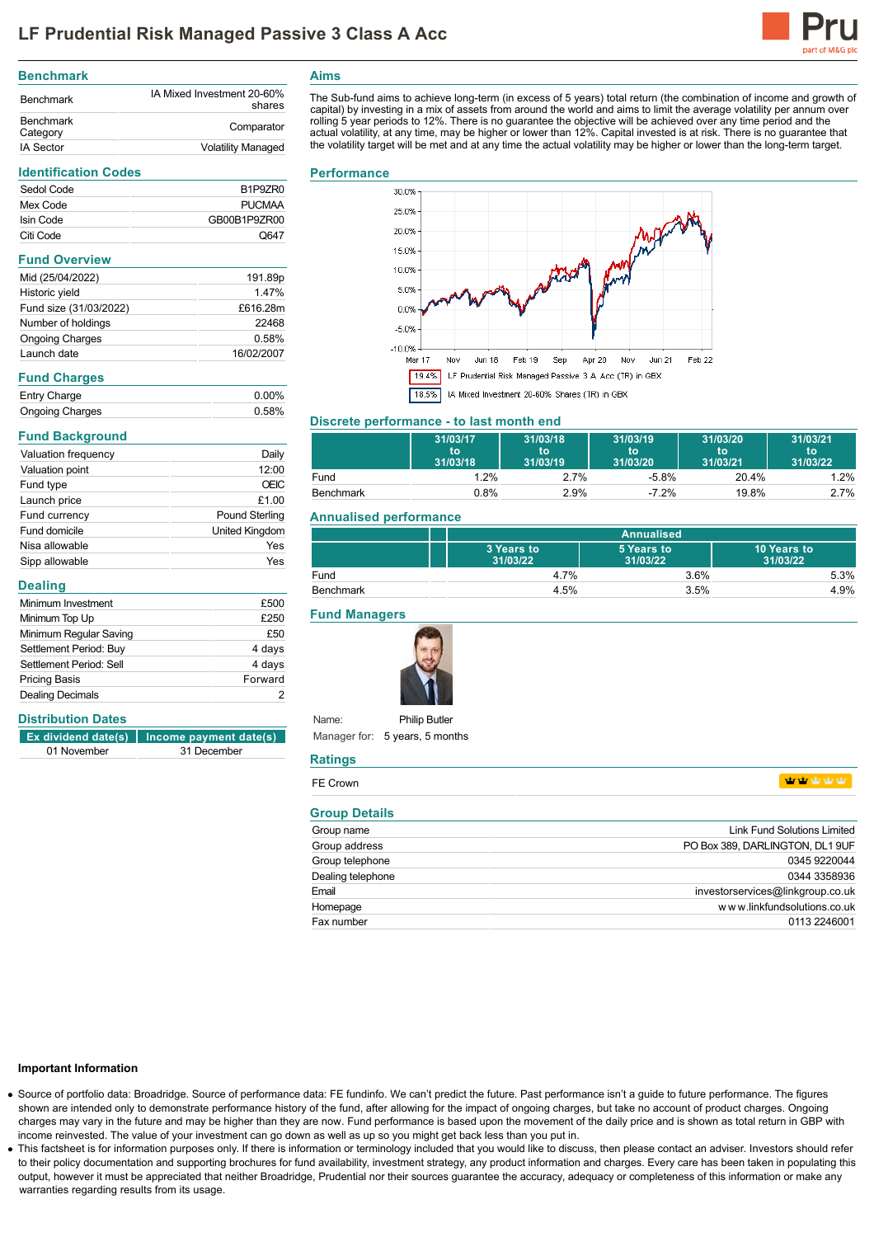

#### **Benchmark** Benchmark IA Mixed Investment 20-60% shares Benchmark<br>Category Comparator IA Sector **Volatility Managed**

#### **Identification Codes**

| Sedol Code | B <sub>1</sub> P <sub>9</sub> Z <sub>R0</sub> |
|------------|-----------------------------------------------|
| Mex Code   | <b>PUCMAA</b>                                 |
| Isin Code  | GB00B1P9ZR00                                  |
| Citi Code  | O647                                          |
|            |                                               |

### **Fund Overview**

| Mid (25/04/2022)       | 191.89p    |
|------------------------|------------|
| Historic yield         | 147%       |
| Fund size (31/03/2022) | £616.28m   |
| Number of holdings     | 22468      |
| <b>Ongoing Charges</b> | 0.58%      |
| Launch date            | 16/02/2007 |

### **Fund Charges**

| Entry Charge           | $0.00\%$ |
|------------------------|----------|
| <b>Ongoing Charges</b> | 0.58%    |

# **Fund Background**

| Valuation frequency | Daily                 |
|---------------------|-----------------------|
| Valuation point     | 12:00                 |
| Fund type           | OEIC                  |
| Launch price        | £1.00                 |
| Fund currency       | <b>Pound Sterling</b> |
| Fund domicile       | <b>United Kingdom</b> |
| Nisa allowable      | Yes                   |
| Sipp allowable      | Yes                   |

### **Dealing**

| Minimum Investment      | £500    |
|-------------------------|---------|
| Minimum Top Up          | £250    |
| Minimum Regular Saving  | £50     |
| Settlement Period: Buy  | 4 days  |
| Settlement Period: Sell | 4 days  |
| <b>Pricing Basis</b>    | Forward |
| <b>Dealing Decimals</b> |         |

# **Distribution Dates**

|             | $\left  \right $ Ex dividend date(s)   Income payment date(s) |
|-------------|---------------------------------------------------------------|
| 01 November | 31 December                                                   |

# **Aims**

The Sub-fund aims to achieve long-term (in excess of 5 years) total return (the combination of income and growth of capital) by investing in a mix of assets from around the world and aims to limit the average volatility per annum over rolling 5 year periods to 12%. There is no guarantee the objective will be achieved over any time period and the<br>actual volatility, at any time, may be higher or lower than 12%. Capital invested is at risk. There is no gua the volatility target will be met and at any time the actual volatility may be higher or lower than the long-term target.

#### **Performance**



# **Discrete performance - to last month end**

|           | 31/03/17<br>to<br>31/03/18 | 31/03/18<br>to<br>31/03/19 | 31/03/19<br>to<br>31/03/20 | 31/03/20<br>۱to<br>31/03/21 | 31/03/21<br>to<br>31/03/22 |
|-----------|----------------------------|----------------------------|----------------------------|-----------------------------|----------------------------|
| Fund      | 1.2%                       | 2.7%                       | $-5.8%$                    | 20.4%                       | 1.2%                       |
| Benchmark | 0.8%                       | 2.9%                       | $-7.2%$                    | 19.8%                       | 2.7%                       |

## **Annualised performance**

|           | Annualised             |                        |                         |
|-----------|------------------------|------------------------|-------------------------|
|           | 3 Years to<br>31/03/22 | 5 Years to<br>31/03/22 | 10 Years to<br>31/03/22 |
| Fund      | 4.7%                   | 3.6%                   | 5.3%                    |
| Benchmark | 4.5%                   | 3.5%                   | 4.9%                    |

## **Fund Managers**



Name: Manager for: 5 years, 5 months **Philip Butler** 

#### **Ratings**

| .                    |                                    |
|----------------------|------------------------------------|
| FE Crown             | vir vir vir vir vir.               |
| <b>Group Details</b> |                                    |
| Group name           | <b>Link Fund Solutions Limited</b> |
| Group address        | PO Box 389, DARLINGTON, DL1 9UF    |
| Group telephone      | 0345 9220044                       |
| Dealing telephone    | 0344 3358936                       |
| Email                | investorservices@linkgroup.co.uk   |
| Homepage             | www.linkfundsolutions.co.uk        |
| Fax number           | 0113 2246001                       |

### **Important Information**

- Source of portfolio data: Broadridge. Source of performance data: FE fundinfo. We can't predict the future. Past performance isn't a guide to future performance. The figures shown are intended only to demonstrate performance history of the fund, after allowing for the impact of ongoing charges, but take no account of product charges. Ongoing charges may vary in the future and may be higher than they are now. Fund performance is based upon the movement of the daily price and is shown as total return in GBP with income reinvested. The value of your investment can go down as well as up so you might get back less than you put in.
- . This factsheet is for information purposes only. If there is information or terminology included that you would like to discuss, then please contact an adviser. Investors should refer to their policy documentation and supporting brochures for fund availability, investment strategy, any product information and charges. Every care has been taken in populating this output, however it must be appreciated that neither Broadridge, Prudential nor their sources guarantee the accuracy, adequacy or completeness of this information or make any warranties regarding results from its usage.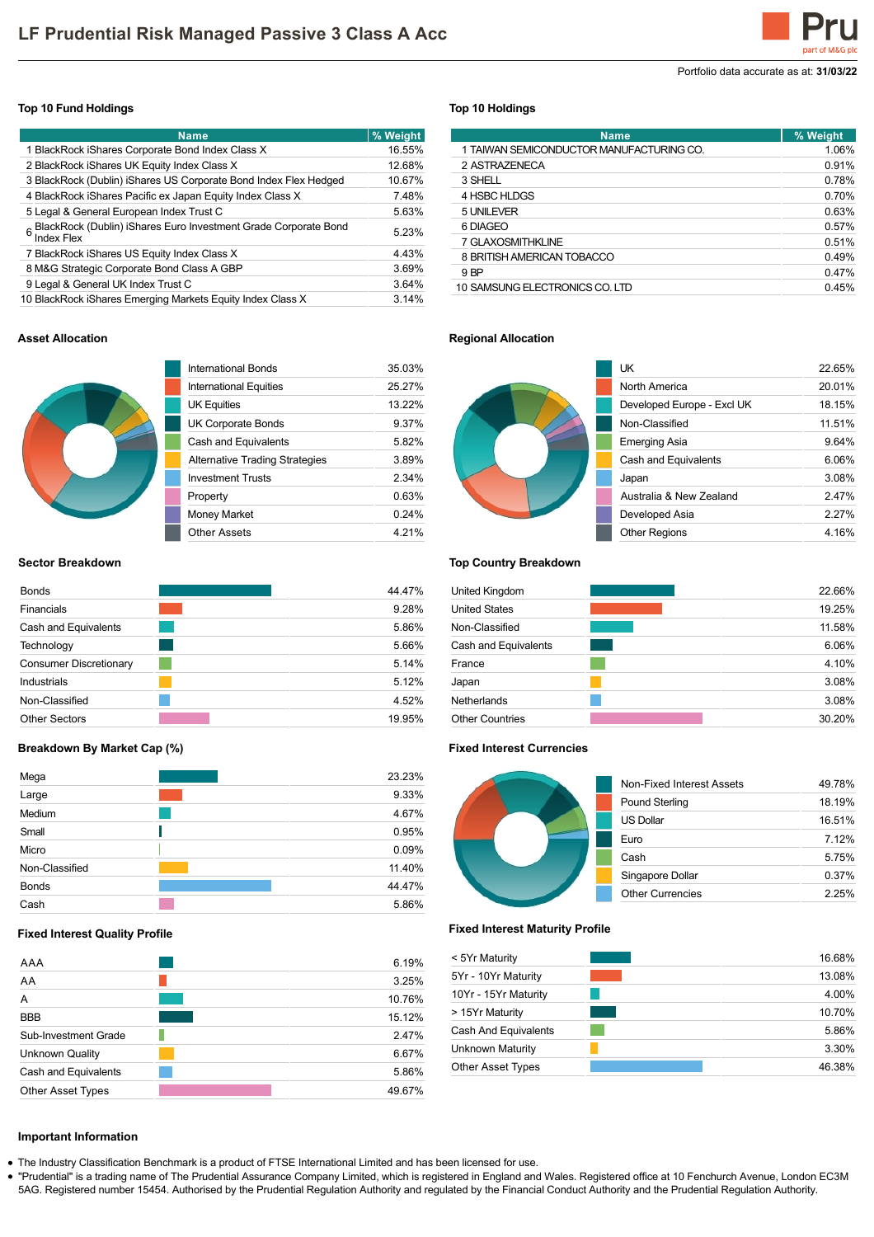Portfolio data accurate as at: **31/03/22**

# **Top 10 Fund Holdings**

| <b>Name</b>                                                                            | % Weight |
|----------------------------------------------------------------------------------------|----------|
| 1 BlackRock iShares Corporate Bond Index Class X                                       | 16.55%   |
| 2 BlackRock iShares UK Equity Index Class X                                            | 12.68%   |
| 3 BlackRock (Dublin) iShares US Corporate Bond Index Flex Hedged                       | 10.67%   |
| 4 BlackRock iShares Pacific ex Japan Equity Index Class X                              | 7.48%    |
| 5 Legal & General European Index Trust C                                               | 5.63%    |
| 6 BlackRock (Dublin) iShares Euro Investment Grade Corporate Bond<br><b>Index Flex</b> | 5.23%    |
| 7 BlackRock iShares US Equity Index Class X                                            | 4.43%    |
| 8 M&G Strategic Corporate Bond Class A GBP                                             | 3.69%    |
| 9 Legal & General UK Index Trust C                                                     | 3.64%    |
| 10 BlackRock iShares Emerging Markets Equity Index Class X                             | 3.14%    |

## **Top 10 Holdings**

| <b>Name</b>                              | % Weight |
|------------------------------------------|----------|
| 1 TAIWAN SEMICONDUCTOR MANUFACTURING CO. | 1.06%    |
| 2 ASTRAZENECA                            | 0.91%    |
| 3 SHELL                                  | 0.78%    |
| 4 HSBC HLDGS                             | 0.70%    |
| 5 UNILEVER                               | 0.63%    |
| 6 DIAGEO                                 | 0.57%    |
| 7 GLAXOSMITHKLINE                        | 0.51%    |
| 8 BRITISH AMERICAN TOBACCO               | 0.49%    |
| 9 BP                                     | 0.47%    |
| 10 SAMSUNG ELECTRONICS CO. LTD           | 0.45%    |

## **Asset Allocation**



| International Bonds                   | 35 03% |
|---------------------------------------|--------|
| International Equities                | 25 27% |
| <b>UK Equities</b>                    | 13 22% |
| <b>UK Corporate Bonds</b>             | 9.37%  |
| Cash and Equivalents                  | 582%   |
| <b>Alternative Trading Strategies</b> | 389%   |
| <b>Investment Trusts</b>              | 2.34%  |
| Property                              | 0.63%  |
| <b>Money Market</b>                   | 0 24%  |
| Other Assets                          | 4 21%  |
|                                       |        |

# **Sector Breakdown**

| <b>Bonds</b>                  | 44.47% |
|-------------------------------|--------|
| Financials                    | 9.28%  |
| Cash and Equivalents          | 5.86%  |
| Technology                    | 5.66%  |
| <b>Consumer Discretionary</b> | 5.14%  |
| Industrials                   | 5.12%  |
| Non-Classified                | 4.52%  |
| <b>Other Sectors</b>          | 19.95% |

### **Breakdown By Market Cap (%)**

| Mega           | 23.23% |
|----------------|--------|
| Large          | 9.33%  |
| Medium         | 4.67%  |
| Small          | 0.95%  |
| Micro          | 0.09%  |
| Non-Classified | 11.40% |
| <b>Bonds</b>   | 44.47% |
| Cash           | 5.86%  |

## **Fixed Interest Quality Profile**

| AAA                      | 6.19%  |
|--------------------------|--------|
| AA                       | 3.25%  |
| А                        | 10.76% |
| <b>BBB</b>               | 15.12% |
| Sub-Investment Grade     | 2.47%  |
| <b>Unknown Quality</b>   | 6.67%  |
| Cash and Equivalents     | 5.86%  |
| <b>Other Asset Types</b> | 49.67% |

# **Regional Allocation**



| UK                         | 22.65%   |
|----------------------------|----------|
| North America              | 20.01%   |
| Developed Europe - Excl UK | 18.15%   |
| Non-Classified             | 11.51%   |
| <b>Emerging Asia</b>       | 9.64%    |
| Cash and Equivalents       | 6.06%    |
| Japan                      | 3.08%    |
| Australia & New Zealand    | 247%     |
| Developed Asia             | $2.27\%$ |
| <b>Other Regions</b>       | 4.16%    |

# **Top Country Breakdown**

| United Kingdom         | 22.66% |
|------------------------|--------|
| <b>United States</b>   | 19.25% |
| Non-Classified         | 11.58% |
| Cash and Equivalents   | 6.06%  |
| France                 | 4.10%  |
| Japan                  | 3.08%  |
| Netherlands            | 3.08%  |
| <b>Other Countries</b> | 30.20% |

### **Fixed Interest Currencies**



#### **Fixed Interest Maturity Profile**

| < 5Yr Maturity           | 16.68% |
|--------------------------|--------|
| 5Yr - 10Yr Maturity      | 13.08% |
| 10Yr - 15Yr Maturity     | 4.00%  |
| > 15Yr Maturity          | 10.70% |
| Cash And Equivalents     | 5.86%  |
| Unknown Maturity         | 3.30%  |
| <b>Other Asset Types</b> | 46.38% |

# **Important Information**

The Industry Classification Benchmark is a product of FTSE International Limited and has been licensed for use.

"Prudential" is a trading name of The Prudential Assurance Company Limited, which is registered in England and Wales. Registered office at 10 Fenchurch Avenue, London EC3M 5AG. Registered number 15454. Authorised by the Prudential Regulation Authority and regulated by the Financial Conduct Authority and the Prudential Regulation Authority.